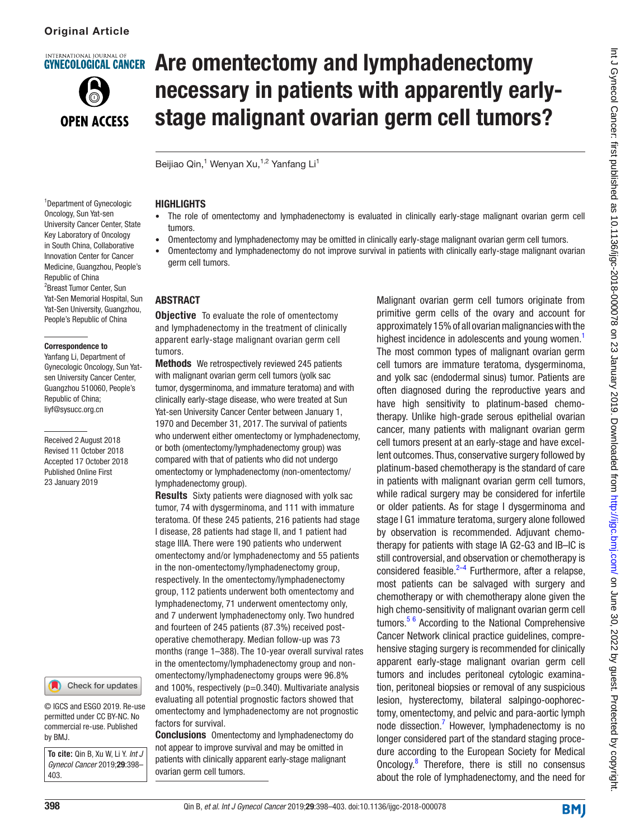**NTERNATIONAL IOURNAL O** 



# **GYNECOLOGICAL CANCER Are omentectomy and lymphadenectomy** necessary in patients with apparently earlystage malignant ovarian germ cell tumors?

Beijiao Qin,<sup>1</sup> Wenyan Xu,<sup>1,2</sup> Yanfang Li<sup>1</sup>

#### **HIGHLIGHTS**

- • The role of omentectomy and lymphadenectomy is evaluated in clinically early-stage malignant ovarian germ cell tumors.
- • Omentectomy and lymphadenectomy may be omitted in clinically early-stage malignant ovarian germ cell tumors.
- • Omentectomy and lymphadenectomy do not improve survival in patients with clinically early-stage malignant ovarian germ cell tumors.

### **ABSTRACT**

**Objective** To evaluate the role of omentectomy and lymphadenectomy in the treatment of clinically apparent early-stage malignant ovarian germ cell tumors.

Methods We retrospectively reviewed 245 patients with malignant ovarian germ cell tumors (yolk sac tumor, dysgerminoma, and immature teratoma) and with clinically early-stage disease, who were treated at Sun Yat-sen University Cancer Center between January 1, 1970 and December 31, 2017. The survival of patients who underwent either omentectomy or lymphadenectomy, or both (omentectomy/lymphadenectomy group) was compared with that of patients who did not undergo omentectomy or lymphadenectomy (non-omentectomy/ lymphadenectomy group).

**Results** Sixty patients were diagnosed with yolk sac tumor, 74 with dysgerminoma, and 111 with immature teratoma. Of these 245 patients, 216 patients had stage I disease, 28 patients had stage II, and 1 patient had stage IIIA. There were 190 patients who underwent omentectomy and/or lymphadenectomy and 55 patients in the non-omentectomy/lymphadenectomy group, respectively. In the omentectomy/lymphadenectomy group, 112 patients underwent both omentectomy and lymphadenectomy, 71 underwent omentectomy only, and 7 underwent lymphadenectomy only. Two hundred and fourteen of 245 patients (87.3%) received postoperative chemotherapy. Median follow-up was 73 months (range 1–388). The 10-year overall survival rates in the omentectomy/lymphadenectomy group and nonomentectomy/lymphadenectomy groups were 96.8% and 100%, respectively  $(p=0.340)$ . Multivariate analysis evaluating all potential prognostic factors showed that omentectomy and lymphadenectomy are not prognostic factors for survival.

**Conclusions** Omentectomy and lymphadenectomy do not appear to improve survival and may be omitted in patients with clinically apparent early-stage malignant ovarian germ cell tumors.

Malignant ovarian germ cell tumors originate from primitive germ cells of the ovary and account for approximately 15% of all ovarian malignancies with the highest incidence in adolescents and young women.<sup>1</sup> The most common types of malignant ovarian germ cell tumors are immature teratoma, dysgerminoma, and yolk sac (endodermal sinus) tumor. Patients are often diagnosed during the reproductive years and have high sensitivity to platinum-based chemotherapy. Unlike high-grade serous epithelial ovarian cancer, many patients with malignant ovarian germ cell tumors present at an early-stage and have excellent outcomes. Thus, conservative surgery followed by platinum-based chemotherapy is the standard of care in patients with malignant ovarian germ cell tumors, while radical surgery may be considered for infertile or older patients. As for stage I dysgerminoma and stage I G1 immature teratoma, surgery alone followed by observation is recommended. Adjuvant chemotherapy for patients with stage IA G2-G3 and IB–IC is still controversial, and observation or chemotherapy is considered feasible. $2-4$  Furthermore, after a relapse, most patients can be salvaged with surgery and chemotherapy or with chemotherapy alone given the high chemo-sensitivity of malignant ovarian germ cell tumors.[5 6](#page-5-2) According to the National Comprehensive Cancer Network clinical practice guidelines, comprehensive staging surgery is recommended for clinically apparent early-stage malignant ovarian germ cell tumors and includes peritoneal cytologic examination, peritoneal biopsies or removal of any suspicious lesion, hysterectomy, bilateral salpingo-oophorectomy, omentectomy, and pelvic and para-aortic lymph node dissection.<sup>[7](#page-5-3)</sup> However, lymphadenectomy is no longer considered part of the standard staging procedure according to the European Society for Medical Oncology.<sup>8</sup> Therefore, there is still no consensus about the role of lymphadenectomy, and the need for

1 Department of Gynecologic Oncology, Sun Yat-sen University Cancer Center, State Key Laboratory of Oncology in South China, Collaborative Innovation Center for Cancer Medicine, Guangzhou, People's Republic of China 2 Breast Tumor Center, Sun Yat-Sen Memorial Hospital, Sun Yat-Sen University, Guangzhou, People's Republic of China

#### Correspondence to

Yanfang Li, Department of Gynecologic Oncology, Sun Yatsen University Cancer Center, Guangzhou 510060, People's Republic of China; liyf@sysucc.org.cn

Received 2 August 2018 Revised 11 October 2018 Accepted 17 October 2018 Published Online First 23 January 2019



© IGCS and ESGO 2019. Re-use permitted under CC BY-NC. No commercial re-use. Published by BMJ.

**To cite:** Qin B, Xu W, Li Y. *Int J Gynecol Cancer* 2019;29:398– 403.

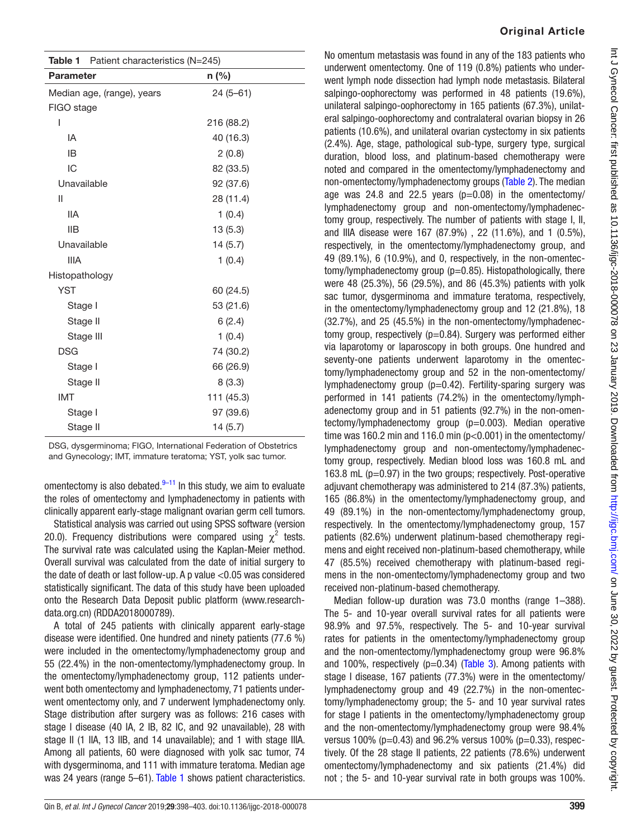<span id="page-1-0"></span>

|                  | Table 1 Patient characteristics (N=245) |            |
|------------------|-----------------------------------------|------------|
| <b>Parameter</b> |                                         | n (%)      |
|                  | Median age, (range), years              | $24(5-61)$ |
| FIGO stage       |                                         |            |
| ı                |                                         | 216 (88.2) |
| IA               |                                         | 40 (16.3)  |
| IB               |                                         | 2(0.8)     |
| IC               |                                         | 82 (33.5)  |
| Unavailable      |                                         | 92 (37.6)  |
| $\mathbf{I}$     |                                         | 28 (11.4)  |
| <b>IIA</b>       |                                         | 1(0.4)     |
| IIB              |                                         | 13(5.3)    |
| Unavailable      |                                         | 14(5.7)    |
| <b>IIIA</b>      |                                         | 1(0.4)     |
| Histopathology   |                                         |            |
| <b>YST</b>       |                                         | 60 (24.5)  |
| Stage I          |                                         | 53 (21.6)  |
| Stage II         |                                         | 6(2.4)     |
| Stage III        |                                         | 1(0.4)     |
| <b>DSG</b>       |                                         | 74 (30.2)  |
| Stage I          |                                         | 66 (26.9)  |
| Stage II         |                                         | 8(3.3)     |
| <b>IMT</b>       |                                         | 111 (45.3) |
| Stage I          |                                         | 97 (39.6)  |
| Stage II         |                                         | 14 (5.7)   |

DSG, dysgerminoma; FIGO, International Federation of Obstetrics and Gynecology; IMT, immature teratoma; YST, yolk sac tumor.

omentectomy is also debated.<sup>[9–11](#page-5-5)</sup> In this study, we aim to evaluate the roles of omentectomy and lymphadenectomy in patients with clinically apparent early-stage malignant ovarian germ cell tumors.

Statistical analysis was carried out using SPSS software (version 20.0). Frequency distributions were compared using  $\chi^2$  tests. The survival rate was calculated using the Kaplan-Meier method. Overall survival was calculated from the date of initial surgery to the date of death or last follow-up. A p value <0.05 was considered statistically significant. The data of this study have been uploaded onto the Research Data Deposit public platform [\(www.research](www.researchdata.org.cn)[data.org.cn\)](www.researchdata.org.cn) (RDDA2018000789).

A total of 245 patients with clinically apparent early-stage disease were identified. One hundred and ninety patients (77.6 %) were included in the omentectomy/lymphadenectomy group and 55 (22.4%) in the non-omentectomy/lymphadenectomy group. In the omentectomy/lymphadenectomy group, 112 patients underwent both omentectomy and lymphadenectomy, 71 patients underwent omentectomy only, and 7 underwent lymphadenectomy only. Stage distribution after surgery was as follows: 216 cases with stage I disease (40 IA, 2 IB, 82 IC, and 92 unavailable), 28 with stage II (1 IIA, 13 IIB, and 14 unavailable); and 1 with stage IIIA. Among all patients, 60 were diagnosed with yolk sac tumor, 74 with dysgerminoma, and 111 with immature teratoma. Median age was 24 years (range 5–61). [Table 1](#page-1-0) shows patient characteristics.

#### Original Article

No omentum metastasis was found in any of the 183 patients who underwent omentectomy. One of 119 (0.8%) patients who underwent lymph node dissection had lymph node metastasis. Bilateral salpingo-oophorectomy was performed in 48 patients (19.6%), unilateral salpingo-oophorectomy in 165 patients (67.3%), unilateral salpingo-oophorectomy and contralateral ovarian biopsy in 26 patients (10.6%), and unilateral ovarian cystectomy in six patients (2.4%). Age, stage, pathological sub-type, surgery type, surgical duration, blood loss, and platinum-based chemotherapy were noted and compared in the omentectomy/lymphadenectomy and non-omentectomy/lymphadenectomy groups [\(Table 2\)](#page-2-0). The median age was 24.8 and 22.5 years  $(p=0.08)$  in the omentectomy/ lymphadenectomy group and non-omentectomy/lymphadenectomy group, respectively. The number of patients with stage I, II, and IIIA disease were 167 (87.9%), 22 (11.6%), and 1 (0.5%), respectively, in the omentectomy/lymphadenectomy group, and 49 (89.1%), 6 (10.9%), and 0, respectively, in the non-omentectomy/lymphadenectomy group (p=0.85). Histopathologically, there were 48 (25.3%), 56 (29.5%), and 86 (45.3%) patients with yolk sac tumor, dysgerminoma and immature teratoma, respectively, in the omentectomy/lymphadenectomy group and 12 (21.8%), 18 (32.7%), and 25 (45.5%) in the non-omentectomy/lymphadenectomy group, respectively (p=0.84). Surgery was performed either via laparotomy or laparoscopy in both groups. One hundred and seventy-one patients underwent laparotomy in the omentectomy/lymphadenectomy group and 52 in the non-omentectomy/ lymphadenectomy group  $(p=0.42)$ . Fertility-sparing surgery was performed in 141 patients (74.2%) in the omentectomy/lymphadenectomy group and in 51 patients (92.7%) in the non-omentectomy/lymphadenectomy group (p=0.003). Median operative time was 160.2 min and 116.0 min (p<0.001) in the omentectomy/ lymphadenectomy group and non-omentectomy/lymphadenectomy group, respectively. Median blood loss was 160.8 mL and 163.8 mL (p=0.97) in the two groups; respectively. Post-operative adjuvant chemotherapy was administered to 214 (87.3%) patients, 165 (86.8%) in the omentectomy/lymphadenectomy group, and 49 (89.1%) in the non-omentectomy/lymphadenectomy group, respectively. In the omentectomy/lymphadenectomy group, 157 patients (82.6%) underwent platinum-based chemotherapy regimens and eight received non-platinum-based chemotherapy, while 47 (85.5%) received chemotherapy with platinum-based regimens in the non-omentectomy/lymphadenectomy group and two received non-platinum-based chemotherapy.

Median follow-up duration was 73.0 months (range 1–388). The 5- and 10-year overall survival rates for all patients were 98.9% and 97.5%, respectively. The 5- and 10-year survival rates for patients in the omentectomy/lymphadenectomy group and the non-omentectomy/lymphadenectomy group were 96.8% and 100%, respectively ( $p=0.34$ ) (Table 3). Among patients with stage I disease, 167 patients (77.3%) were in the omentectomy/ lymphadenectomy group and 49 (22.7%) in the non-omentectomy/lymphadenectomy group; the 5- and 10 year survival rates for stage I patients in the omentectomy/lymphadenectomy group and the non-omentectomy/lymphadenectomy group were 98.4% versus 100% ( $p=0.43$ ) and 96.2% versus 100% ( $p=0.33$ ), respectively. Of the 28 stage II patients, 22 patients (78.6%) underwent omentectomy/lymphadenectomy and six patients (21.4%) did not ; the 5- and 10-year survival rate in both groups was 100%.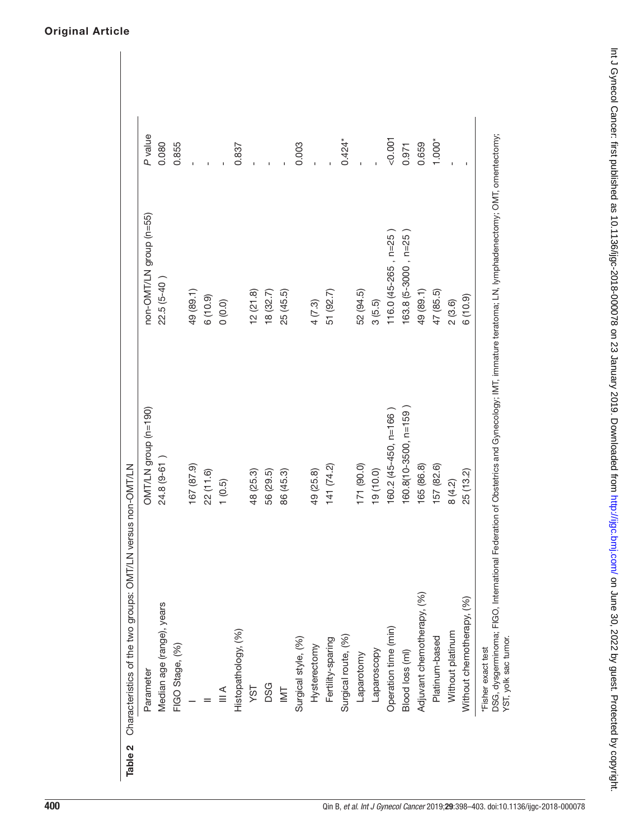<span id="page-2-0"></span>

|                            | OMT/LN group (n=190)  | non-OMT/LN group (n=55) |          |
|----------------------------|-----------------------|-------------------------|----------|
| Median age (range), years  | 24.8 (9-61)           | $22.5(5-40)$            | 0.080    |
| FIGO Stage, (%)            |                       |                         | 0.855    |
|                            | 167 (87.9)            | 49 (89.1)               |          |
|                            | 22(11.6)              | 6(10.9)                 |          |
| $\leq$                     | 1(0.5)                | (0.0)                   |          |
| Histopathology, (%)        |                       |                         | 0.837    |
| YST                        | 48 (25.3)             | 12(21.8)                |          |
| <b>DSG</b>                 | 56 (29.5)             | 18 (32.7)               |          |
| $\overline{\cong}$         | 86 (45.3)             | 25 (45.5)               |          |
| Surgical style, (%)        |                       |                         | 0.003    |
| Hysterectomy               | 49 (25.8)             | 4(7.3)                  |          |
| Fertility-sparing          | 141(74.2)             | 51 (92.7)               |          |
| Surgical route, (%)        |                       |                         | $0.424*$ |
| Laparotomy                 | 171 (90.0)            | 52 (94.5)               |          |
| Laparoscopy                | 19 (10.0)             | 3(5.5)                  |          |
| Operation time (min)       | 160.2 (45-450, n=166) | $116.0(45-265, n=25)$   | 1001     |
| Blood loss (ml)            | 160.8(10-3500, n=159  | 163.8 (5-3000, n=25     | 0.971    |
| Adjuvant chemotherapy, (%) | 165 (86.8)            | 49 (89.1)               | 0.659    |
| Platinum-based             | 157 (82.6)            | 47 (85.5)               | 1.000*   |
| Without platinum           | 8 (4.2)               | 2(3.6)                  |          |
| Without chemotherapy, (%)  | 25 (13.2)             | 6(10.9)                 |          |

Original Article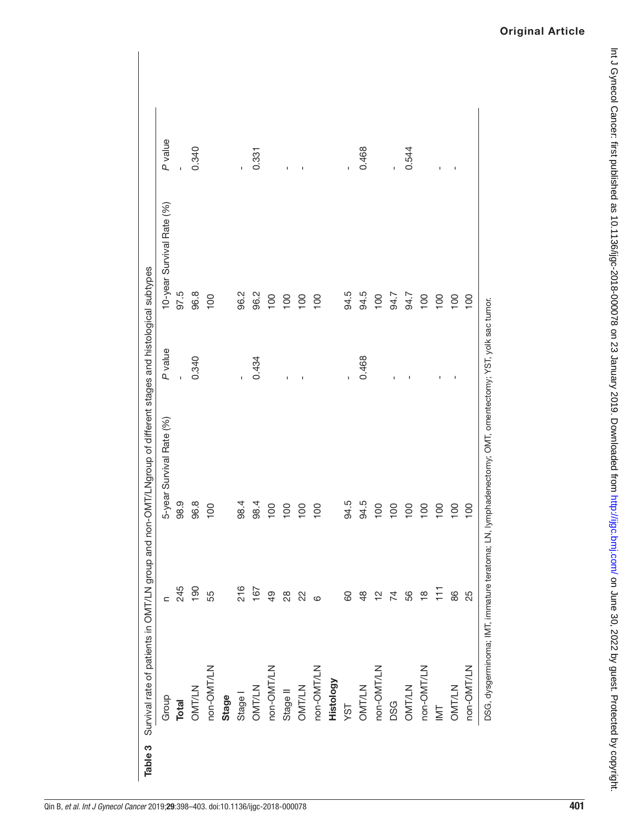<span id="page-3-0"></span>

| Group          | $\subset$               | 5-year Survival Rate (%) | P value | 10-year Survival Rate (%) | P value        |
|----------------|-------------------------|--------------------------|---------|---------------------------|----------------|
| Total          | 245                     | 98.9                     |         | 97.5                      |                |
| <b>OMT/LN</b>  | 190                     | 96.8                     | 0.340   | 96.8                      | 0.340          |
| non-OMT/LN     | 55                      | 100                      |         | 100                       |                |
| Stage          |                         |                          |         |                           |                |
| Stage I        | 216                     | 98.4                     | Ţ       | 96.2                      | ı              |
| <b>OMT/LN</b>  | 167                     | 98.4                     | 0.434   | 96.2                      | 0.331          |
| non-OMT/LN     | 49                      | 100                      |         | 100                       |                |
| Stage II       | $^{28}$                 | 100                      | Ţ       | 100                       | Ţ              |
| OMT/LN         | 22                      | 100                      | J.      | 100                       |                |
| non-OMT/LN     | $\circ$                 | 100                      |         | 100                       |                |
| Histology      |                         |                          |         |                           |                |
| YST            | 60                      | 94.5                     | Ţ       | 94.5                      |                |
| OMT/LN         | $\frac{8}{4}$           | 94.5                     | 0.468   | 94.5                      | 0.468          |
| non-OMT/LN     | $\frac{1}{2}$           | 100                      |         | 100                       |                |
| <b>DSG</b>     | 74                      | $\overline{100}$         | ı       | 94.7                      | Ï              |
| <b>OMT/LN</b>  | 56                      | 100                      |         | 94.7                      | 0.544          |
| non-OMT/LN     | $\frac{\infty}{\infty}$ | $\overline{100}$         |         | 100                       |                |
| $\overline{M}$ | F                       | 100                      | ı       | 100                       | $\blacksquare$ |
| OMT/LN         | 86                      | 100                      | J.      | 100                       | $\mathbf I$    |
| non-OMT/LN     | 25                      | $\frac{100}{2}$          |         | 100                       |                |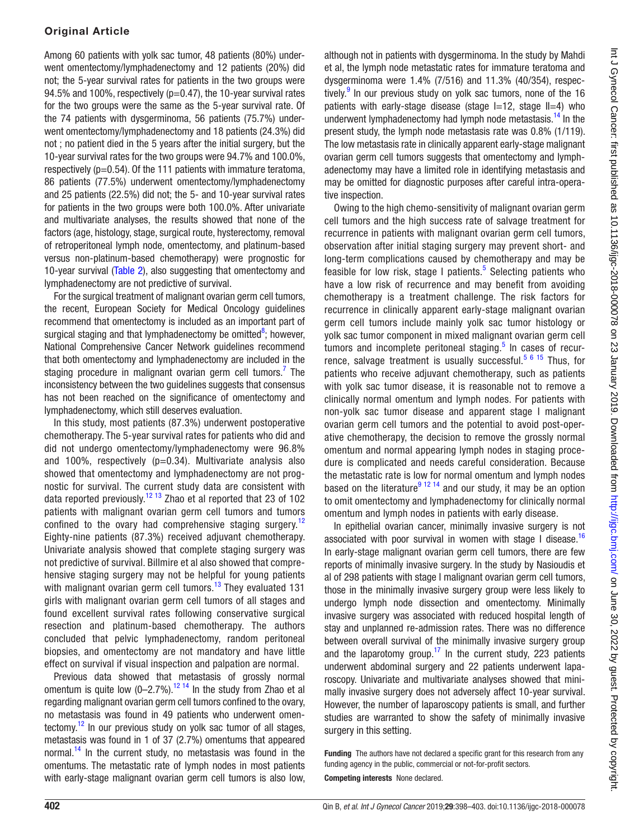## Original Article

Among 60 patients with yolk sac tumor, 48 patients (80%) underwent omentectomy/lymphadenectomy and 12 patients (20%) did not; the 5-year survival rates for patients in the two groups were 94.5% and 100%, respectively ( $p=0.47$ ), the 10-year survival rates for the two groups were the same as the 5-year survival rate. Of the 74 patients with dysgerminoma, 56 patients (75.7%) underwent omentectomy/lymphadenectomy and 18 patients (24.3%) did not ; no patient died in the 5 years after the initial surgery, but the 10-year survival rates for the two groups were 94.7% and 100.0%, respectively ( $p=0.54$ ). Of the 111 patients with immature teratoma, 86 patients (77.5%) underwent omentectomy/lymphadenectomy and 25 patients (22.5%) did not; the 5- and 10-year survival rates for patients in the two groups were both 100.0%. After univariate and multivariate analyses, the results showed that none of the factors (age, histology, stage, surgical route, hysterectomy, removal of retroperitoneal lymph node, omentectomy, and platinum-based versus non-platinum-based chemotherapy) were prognostic for 10-year survival ([Table 2](#page-2-0)), also suggesting that omentectomy and lymphadenectomy are not predictive of survival.

For the surgical treatment of malignant ovarian germ cell tumors, the recent, European Society for Medical Oncology guidelines recommend that omentectomy is included as an important part of surgical staging and that lymphadenectomy be omitted<sup>8</sup>; however, National Comprehensive Cancer Network guidelines recommend that both omentectomy and lymphadenectomy are included in the staging procedure in malignant ovarian germ cell tumors.<sup>[7](#page-5-3)</sup> The inconsistency between the two guidelines suggests that consensus has not been reached on the significance of omentectomy and lymphadenectomy, which still deserves evaluation.

In this study, most patients (87.3%) underwent postoperative chemotherapy. The 5-year survival rates for patients who did and did not undergo omentectomy/lymphadenectomy were 96.8% and 100%, respectively  $(p=0.34)$ . Multivariate analysis also showed that omentectomy and lymphadenectomy are not prognostic for survival. The current study data are consistent with data reported previously.<sup>12 13</sup> Zhao et al reported that 23 of 102 patients with malignant ovarian germ cell tumors and tumors confined to the ovary had comprehensive staging surgery.<sup>[12](#page-5-6)</sup> Eighty-nine patients (87.3%) received adjuvant chemotherapy. Univariate analysis showed that complete staging surgery was not predictive of survival. Billmire et al also showed that comprehensive staging surgery may not be helpful for young patients with malignant ovarian germ cell tumors.<sup>[13](#page-5-7)</sup> They evaluated 131 girls with malignant ovarian germ cell tumors of all stages and found excellent survival rates following conservative surgical resection and platinum-based chemotherapy. The authors concluded that pelvic lymphadenectomy, random peritoneal biopsies, and omentectomy are not mandatory and have little effect on survival if visual inspection and palpation are normal.

Previous data showed that metastasis of grossly normal omentum is quite low  $(0-2.7\%)$ .<sup>12 14</sup> In the study from Zhao et al regarding malignant ovarian germ cell tumors confined to the ovary, no metastasis was found in 49 patients who underwent omentectomy. $12$  In our previous study on yolk sac tumor of all stages, metastasis was found in 1 of 37 (2.7%) omentums that appeared normal.<sup>14</sup> In the current study, no metastasis was found in the omentums. The metastatic rate of lymph nodes in most patients with early-stage malignant ovarian germ cell tumors is also low,

although not in patients with dysgerminoma. In the study by Mahdi et al, the lymph node metastatic rates for immature teratoma and dysgerminoma were 1.4% (7/516) and 11.3% (40/354), respec-tively.<sup>[9](#page-5-5)</sup> In our previous study on yolk sac tumors, none of the 16 patients with early-stage disease (stage  $I=12$ , stage  $II=4$ ) who underwent lymphadenectomy had lymph node metastasis.<sup>14</sup> In the present study, the lymph node metastasis rate was 0.8% (1/119). The low metastasis rate in clinically apparent early-stage malignant ovarian germ cell tumors suggests that omentectomy and lymphadenectomy may have a limited role in identifying metastasis and may be omitted for diagnostic purposes after careful intra-operative inspection.

Owing to the high chemo-sensitivity of malignant ovarian germ cell tumors and the high success rate of salvage treatment for recurrence in patients with malignant ovarian germ cell tumors, observation after initial staging surgery may prevent short- and long-term complications caused by chemotherapy and may be feasible for low risk, stage I patients.<sup>[5](#page-5-2)</sup> Selecting patients who have a low risk of recurrence and may benefit from avoiding chemotherapy is a treatment challenge. The risk factors for recurrence in clinically apparent early-stage malignant ovarian germ cell tumors include mainly yolk sac tumor histology or yolk sac tumor component in mixed malignant ovarian germ cell tumors and incomplete peritoneal staging.<sup>[5](#page-5-2)</sup> In cases of recur-rence, salvage treatment is usually successful.<sup>[5 6 15](#page-5-2)</sup> Thus. for patients who receive adjuvant chemotherapy, such as patients with yolk sac tumor disease, it is reasonable not to remove a clinically normal omentum and lymph nodes. For patients with non-yolk sac tumor disease and apparent stage I malignant ovarian germ cell tumors and the potential to avoid post-operative chemotherapy, the decision to remove the grossly normal omentum and normal appearing lymph nodes in staging procedure is complicated and needs careful consideration. Because the metastatic rate is low for normal omentum and lymph nodes based on the literature<sup>9 12 14</sup> and our study, it may be an option to omit omentectomy and lymphadenectomy for clinically normal omentum and lymph nodes in patients with early disease.

In epithelial ovarian cancer, minimally invasive surgery is not associated with poor survival in women with stage I disease.<sup>[16](#page-5-9)</sup> In early-stage malignant ovarian germ cell tumors, there are few reports of minimally invasive surgery. In the study by Nasioudis et al of 298 patients with stage I malignant ovarian germ cell tumors, those in the minimally invasive surgery group were less likely to undergo lymph node dissection and omentectomy. Minimally invasive surgery was associated with reduced hospital length of stay and unplanned re-admission rates. There was no difference between overall survival of the minimally invasive surgery group and the laparotomy group.<sup>17</sup> In the current study, 223 patients underwent abdominal surgery and 22 patients underwent laparoscopy. Univariate and multivariate analyses showed that minimally invasive surgery does not adversely affect 10-year survival. However, the number of laparoscopy patients is small, and further studies are warranted to show the safety of minimally invasive surgery in this setting.

Funding The authors have not declared a specific grant for this research from any funding agency in the public, commercial or not-for-profit sectors.

Competing interests None declared.